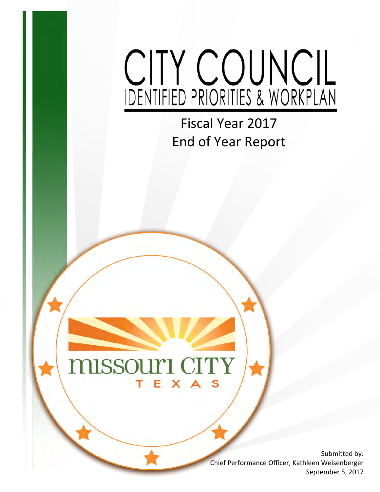# CITY COUNCIL

Fiscal Year 2017 End of Year Report

#### **MISSOUTI CITY** EXA т

Submitted by: Chief Performance Officer, Kathleen Weisenberger September 5, 2017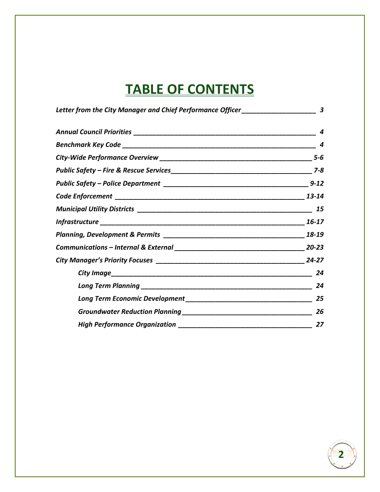## **TABLE OF CONTENTS**

| Letter from the City Manager and Chief Performance Officer_____________________ | 3 |
|---------------------------------------------------------------------------------|---|
|                                                                                 | 4 |
|                                                                                 |   |
|                                                                                 |   |
|                                                                                 |   |
|                                                                                 |   |
|                                                                                 |   |
|                                                                                 |   |
|                                                                                 |   |
|                                                                                 |   |
|                                                                                 |   |
|                                                                                 |   |
|                                                                                 |   |
|                                                                                 |   |
|                                                                                 |   |
|                                                                                 |   |
|                                                                                 |   |

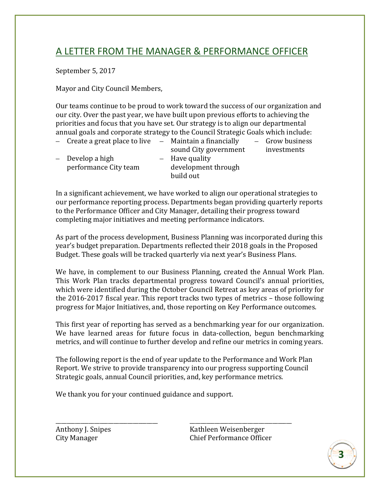#### A LETTER FROM THE MANAGER & PERFORMANCE OFFICER

September 5, 2017

Mayor and City Council Members,

Our teams continue to be proud to work toward the success of our organization and our city. Over the past year, we have built upon previous efforts to achieving the priorities and focus that you have set. Our strategy is to align our departmental annual goals and corporate strategy to the Council Strategic Goals which include: – Grow business

- $-$  Create a great place to live  $-$  Maintain a financially
- Develop a high performance City team
- sound City government – Have quality development through build out

investments

In a significant achievement, we have worked to align our operational strategies to our performance reporting process. Departments began providing quarterly reports to the Performance Officer and City Manager, detailing their progress toward completing major initiatives and meeting performance indicators.

As part of the process development, Business Planning was incorporated during this year's budget preparation. Departments reflected their 2018 goals in the Proposed Budget. These goals will be tracked quarterly via next year's Business Plans.

We have, in complement to our Business Planning, created the Annual Work Plan. This Work Plan tracks departmental progress toward Council's annual priorities, which were identified during the October Council Retreat as key areas of priority for the 2016-2017 fiscal year. This report tracks two types of metrics – those following progress for Major Initiatives, and, those reporting on Key Performance outcomes.

This first year of reporting has served as a benchmarking year for our organization. We have learned areas for future focus in data-collection, begun benchmarking metrics, and will continue to further develop and refine our metrics in coming years.

The following report is the end of year update to the Performance and Work Plan Report. We strive to provide transparency into our progress supporting Council Strategic goals, annual Council priorities, and, key performance metrics.

We thank you for your continued guidance and support.

\_\_\_\_\_\_\_\_\_\_\_\_\_\_\_\_\_\_\_\_\_\_\_\_\_\_\_\_\_\_\_\_\_\_\_\_\_ \_\_\_\_\_\_\_\_\_\_\_\_\_\_\_\_\_\_\_\_\_\_\_\_\_\_\_\_\_\_\_\_\_\_\_\_\_ Anthony J. Snipes<br>City Manager City Manager<br>Chief Performance Office Chief Performance Officer

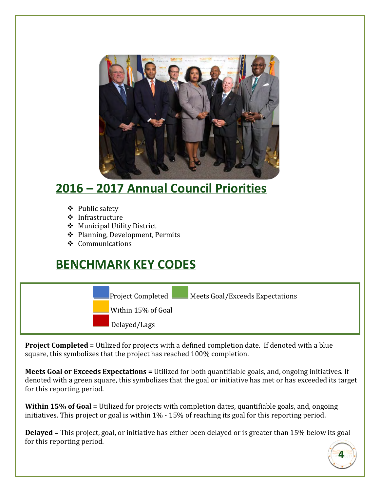

## **2016 – 2017 Annual Council Priorities**

- ❖ Public safety
- ❖ Infrastructure
- Municipal Utility District
- Planning, Development, Permits
- $\div$  Communications

### **BENCHMARK KEY CODES**



**Project Completed** = Utilized for projects with a defined completion date. If denoted with a blue square, this symbolizes that the project has reached 100% completion.

**Meets Goal or Exceeds Expectations =** Utilized for both quantifiable goals, and, ongoing initiatives. If denoted with a green square, this symbolizes that the goal or initiative has met or has exceeded its target for this reporting period.

**Within 15% of Goal** = Utilized for projects with completion dates, quantifiable goals, and, ongoing initiatives. This project or goal is within 1% - 15% of reaching its goal for this reporting period.

**Delayed** = This project, goal, or initiative has either been delayed or is greater than 15% below its goal for this reporting period.

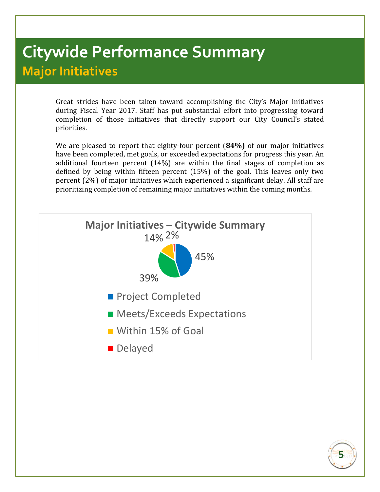## **Citywide Performance Summary Major Initiatives**

Great strides have been taken toward accomplishing the City's Major Initiatives during Fiscal Year 2017. Staff has put substantial effort into progressing toward completion of those initiatives that directly support our City Council's stated priorities.

We are pleased to report that eighty-four percent (**84%)** of our major initiatives have been completed, met goals, or exceeded expectations for progress this year. An additional fourteen percent (14%) are within the final stages of completion as defined by being within fifteen percent (15%) of the goal. This leaves only two percent (2%) of major initiatives which experienced a significant delay. All staff are prioritizing completion of remaining major initiatives within the coming months.



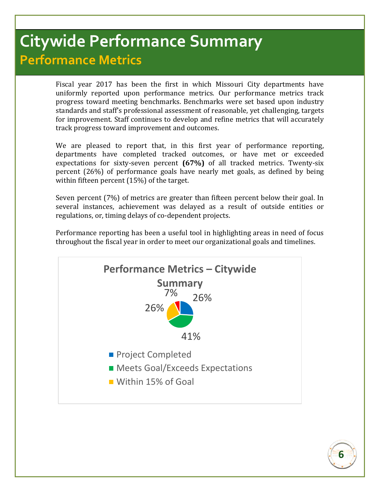## **Citywide Performance Summary Performance Metrics**

Fiscal year 2017 has been the first in which Missouri City departments have uniformly reported upon performance metrics. Our performance metrics track progress toward meeting benchmarks. Benchmarks were set based upon industry standards and staff's professional assessment of reasonable, yet challenging, targets for improvement. Staff continues to develop and refine metrics that will accurately track progress toward improvement and outcomes.

We are pleased to report that, in this first year of performance reporting, departments have completed tracked outcomes, or have met or exceeded expectations for sixty-seven percent **(67%)** of all tracked metrics. Twenty-six percent (26%) of performance goals have nearly met goals, as defined by being within fifteen percent (15%) of the target.

Seven percent (7%) of metrics are greater than fifteen percent below their goal. In several instances, achievement was delayed as a result of outside entities or regulations, or, timing delays of co-dependent projects.

Performance reporting has been a useful tool in highlighting areas in need of focus throughout the fiscal year in order to meet our organizational goals and timelines.



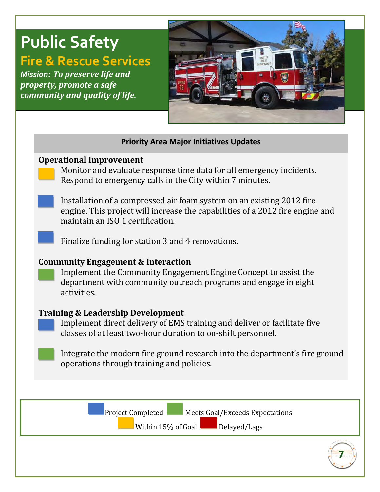## **Public Safety**

## **Fire & Rescue Services**

*Mission: To preserve life and property, promote a safe community and quality of life.*



#### **Priority Area Major Initiatives Updates**

#### **Operational Improvement**

Monitor and evaluate response time data for all emergency incidents. Respond to emergency calls in the City within 7 minutes.

Installation of a compressed air foam system on an existing 2012 fire engine. This project will increase the capabilities of a 2012 fire engine and maintain an ISO 1 certification.

Finalize funding for station 3 and 4 renovations.

#### **Community Engagement & Interaction**

Implement the Community Engagement Engine Concept to assist the department with community outreach programs and engage in eight activities.

#### **Training & Leadership Development**

Implement direct delivery of EMS training and deliver or facilitate five classes of at least two-hour duration to on-shift personnel.

Integrate the modern fire ground research into the department's fire ground operations through training and policies.

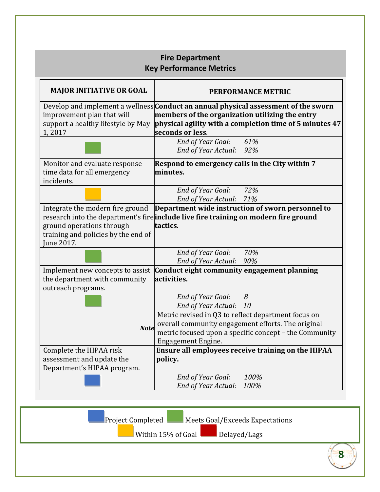|                                                                                                                    | <b>Fire Department</b><br><b>Key Performance Metrics</b>                                                                                                                                                                     |
|--------------------------------------------------------------------------------------------------------------------|------------------------------------------------------------------------------------------------------------------------------------------------------------------------------------------------------------------------------|
| <b>MAJOR INITIATIVE OR GOAL</b>                                                                                    | <b>PERFORMANCE METRIC</b>                                                                                                                                                                                                    |
| improvement plan that will<br>support a healthy lifestyle by May<br>1,2017                                         | Develop and implement a wellness <b>Conduct an annual physical assessment of the sworn</b><br>members of the organization utilizing the entry<br>physical agility with a completion time of 5 minutes 47<br>seconds or less. |
|                                                                                                                    | End of Year Goal:<br>61%<br>End of Year Actual:<br>92%                                                                                                                                                                       |
| Monitor and evaluate response<br>time data for all emergency<br>incidents.                                         | Respond to emergency calls in the City within 7<br>minutes.                                                                                                                                                                  |
|                                                                                                                    | End of Year Goal: 72%<br>End of Year Actual: 71%                                                                                                                                                                             |
| Integrate the modern fire ground<br>ground operations through<br>training and policies by the end of<br>June 2017. | Department wide instruction of sworn personnel to<br>research into the department's fire include live fire training on modern fire ground<br>tactics.                                                                        |
|                                                                                                                    | End of Year Goal:<br>70%<br>End of Year Actual:<br>90%                                                                                                                                                                       |
| Implement new concepts to assist<br>the department with community<br>outreach programs.                            | Conduct eight community engagement planning<br>activities.                                                                                                                                                                   |
|                                                                                                                    | End of Year Goal:<br>8<br><b>End of Year Actual:</b><br>10                                                                                                                                                                   |
| <b>Note</b>                                                                                                        | Metric revised in Q3 to reflect department focus on<br>overall community engagement efforts. The original<br>metric focused upon a specific concept - the Community<br><b>Engagement Engine.</b>                             |
| Complete the HIPAA risk<br>assessment and update the<br>Department's HIPAA program.                                | Ensure all employees receive training on the HIPAA<br>policy.                                                                                                                                                                |
|                                                                                                                    | 100%<br>End of Year Goal:<br>End of Year Actual:<br>100%                                                                                                                                                                     |

**8** Project Completed Meets Goal/Exceeds Expectations Within 15% of Goal Delayed/Lags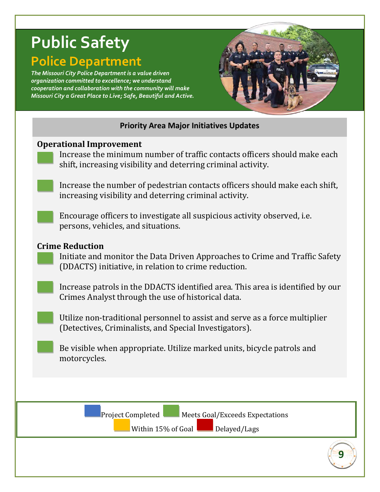## **Public Safety Police Department**

*The Missouri City Police Department is a value driven organization committed to excellence; we understand cooperation and collaboration with the community will make Missouri City a Great Place to Live; Safe, Beautiful and Active.*



#### **Priority Area Major Initiatives Updates**

#### **Operational Improvement**

Increase the minimum number of traffic contacts officers should make each shift, increasing visibility and deterring criminal activity.

Increase the number of pedestrian contacts officers should make each shift, increasing visibility and deterring criminal activity.

Encourage officers to investigate all suspicious activity observed, i.e. persons, vehicles, and situations.

#### **Crime Reduction**

Initiate and monitor the Data Driven Approaches to Crime and Traffic Safety (DDACTS) initiative, in relation to crime reduction.

Increase patrols in the DDACTS identified area. This area is identified by our Crimes Analyst through the use of historical data.

Utilize non-traditional personnel to assist and serve as a force multiplier (Detectives, Criminalists, and Special Investigators).

Be visible when appropriate. Utilize marked units, bicycle patrols and motorcycles.

Project Completed Meets Goal/Exceeds Expectations

Within 15% of Goal Delayed/Lags

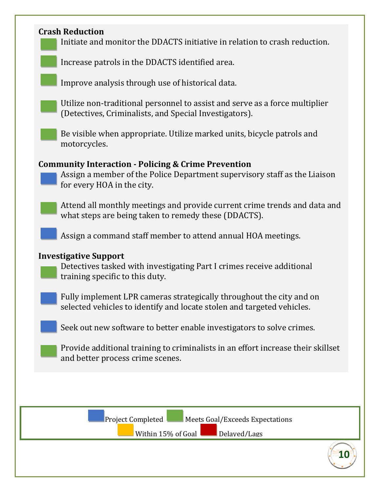#### **Crash Reduction**

l

Initiate and monitor the DDACTS initiative in relation to crash reduction.

Increase patrols in the DDACTS identified area.

Improve analysis through use of historical data.

Utilize non-traditional personnel to assist and serve as a force multiplier (Detectives, Criminalists, and Special Investigators).

Be visible when appropriate. Utilize marked units, bicycle patrols and motorcycles.

#### **Community Interaction - Policing & Crime Prevention**

Assign a member of the Police Department supervisory staff as the Liaison for every HOA in the city.

Attend all monthly meetings and provide current crime trends and data and what steps are being taken to remedy these (DDACTS).

Assign a command staff member to attend annual HOA meetings.

#### **Investigative Support**

Detectives tasked with investigating Part I crimes receive additional training specific to this duty.

Fully implement LPR cameras strategically throughout the city and on selected vehicles to identify and locate stolen and targeted vehicles.

Seek out new software to better enable investigators to solve crimes.

Provide additional training to criminalists in an effort increase their skillset and better process crime scenes.



**10**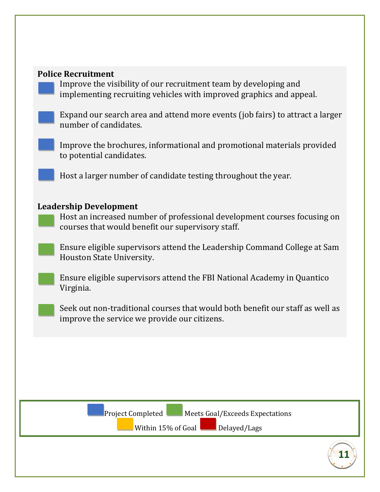#### **Police Recruitment**

Improve the visibility of our recruitment team by developing and implementing recruiting vehicles with improved graphics and appeal.

Expand our search area and attend more events (job fairs) to attract a larger number of candidates.

Improve the brochures, informational and promotional materials provided to potential candidates.

Host a larger number of candidate testing throughout the year.

#### **Leadership Development**

Host an increased number of professional development courses focusing on courses that would benefit our supervisory staff.

Ensure eligible supervisors attend the Leadership Command College at Sam Houston State University.

Ensure eligible supervisors attend the FBI National Academy in Quantico Virginia.

Seek out non-traditional courses that would both benefit our staff as well as improve the service we provide our citizens.



Project Completed Meets Goal/Exceeds Expectations

Within  $15\%$  of Goal Delayed/Lags

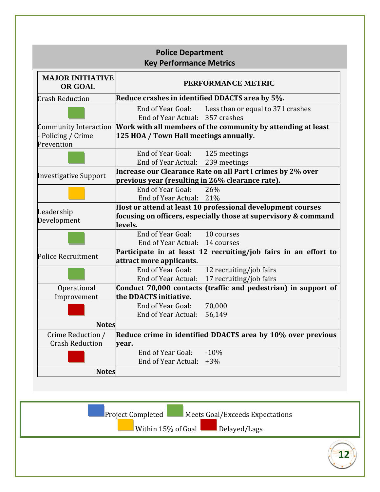| Reduce crashes in identified DDACTS area by 5%.<br>Less than or equal to 371 crashes<br>Community Interaction Work with all members of the community by attending at least<br>Increase our Clearance Rate on all Part I crimes by 2% over<br>previous year (resulting in 26% clearance rate). |
|-----------------------------------------------------------------------------------------------------------------------------------------------------------------------------------------------------------------------------------------------------------------------------------------------|
|                                                                                                                                                                                                                                                                                               |
|                                                                                                                                                                                                                                                                                               |
|                                                                                                                                                                                                                                                                                               |
|                                                                                                                                                                                                                                                                                               |
|                                                                                                                                                                                                                                                                                               |
|                                                                                                                                                                                                                                                                                               |
|                                                                                                                                                                                                                                                                                               |
|                                                                                                                                                                                                                                                                                               |
|                                                                                                                                                                                                                                                                                               |
|                                                                                                                                                                                                                                                                                               |
| Host or attend at least 10 professional development courses                                                                                                                                                                                                                                   |
| focusing on officers, especially those at supervisory & command                                                                                                                                                                                                                               |
|                                                                                                                                                                                                                                                                                               |
|                                                                                                                                                                                                                                                                                               |
| Participate in at least 12 recruiting/job fairs in an effort to                                                                                                                                                                                                                               |
| 12 recruiting/job fairs                                                                                                                                                                                                                                                                       |
| 17 recruiting/job fairs                                                                                                                                                                                                                                                                       |
| Conduct 70,000 contacts (traffic and pedestrian) in support of                                                                                                                                                                                                                                |
|                                                                                                                                                                                                                                                                                               |
|                                                                                                                                                                                                                                                                                               |
|                                                                                                                                                                                                                                                                                               |
| Reduce crime in identified DDACTS area by 10% over previous                                                                                                                                                                                                                                   |
|                                                                                                                                                                                                                                                                                               |
|                                                                                                                                                                                                                                                                                               |
|                                                                                                                                                                                                                                                                                               |
|                                                                                                                                                                                                                                                                                               |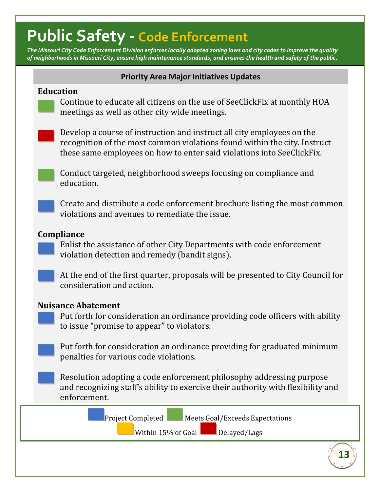## **Public Safety - Code Enforcement**

*The Missouri City Code Enforcement Division enforces locally adopted zoning laws and city codes to improve the quality of neighborhoods in Missouri City, ensure high maintenance standards, and ensures the health and safety of the public.*

#### **Priority Area Major Initiatives Updates**

#### **Education**

Continue to educate all citizens on the use of SeeClickFix at monthly HOA meetings as well as other city wide meetings.

Develop a course of instruction and instruct all city employees on the recognition of the most common violations found within the city. Instruct these same employees on how to enter said violations into SeeClickFix.

Conduct targeted, neighborhood sweeps focusing on compliance and education.

Create and distribute a code enforcement brochure listing the most common violations and avenues to remediate the issue.

#### **Compliance**

Enlist the assistance of other City Departments with code enforcement violation detection and remedy (bandit signs).

At the end of the first quarter, proposals will be presented to City Council for consideration and action.

#### **Nuisance Abatement**

Put forth for consideration an ordinance providing code officers with ability to issue "promise to appear" to violators.

Put forth for consideration an ordinance providing for graduated minimum penalties for various code violations.

Resolution adopting a code enforcement philosophy addressing purpose and recognizing staff's ability to exercise their authority with flexibility and enforcement.

Project Completed Meets Goal/Exceeds Expectations

**13**

Within 15% of Goal Delayed/Lags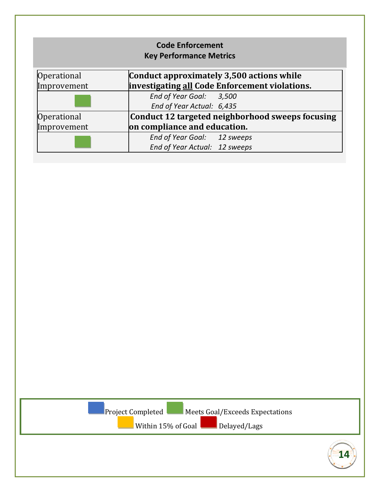|                    | <b>Code Enforcement</b><br><b>Key Performance Metrics</b> |
|--------------------|-----------------------------------------------------------|
| <b>Operational</b> | Conduct approximately 3,500 actions while                 |
| Improvement        | investigating all Code Enforcement violations.            |
|                    | End of Year Goal: 3,500                                   |
|                    | End of Year Actual: 6,435                                 |
| Operational        | Conduct 12 targeted neighborhood sweeps focusing          |
| Improvement        | on compliance and education.                              |
|                    | End of Year Goal: 12 sweeps                               |
|                    | End of Year Actual: 12 sweeps                             |

Project Completed Meets Goal/Exceeds Expectations

Within 15% of Goal Delayed/Lags

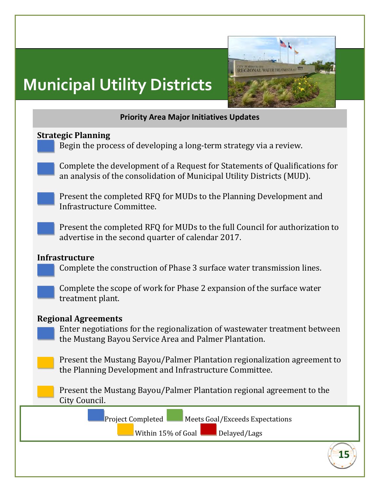# **Municipal Utility Districts**



#### **Priority Area Major Initiatives Updates**

#### **Strategic Planning**

Begin the process of developing a long-term strategy via a review.

Complete the development of a Request for Statements of Qualifications for an analysis of the consolidation of Municipal Utility Districts (MUD).

Present the completed RFQ for MUDs to the Planning Development and Infrastructure Committee.

Present the completed RFQ for MUDs to the full Council for authorization to advertise in the second quarter of calendar 2017.

#### **Infrastructure**

Complete the construction of Phase 3 surface water transmission lines.

Complete the scope of work for Phase 2 expansion of the surface water treatment plant.

#### **Regional Agreements**

Enter negotiations for the regionalization of wastewater treatment between the Mustang Bayou Service Area and Palmer Plantation.

Present the Mustang Bayou/Palmer Plantation regionalization agreement to the Planning Development and Infrastructure Committee.

Present the Mustang Bayou/Palmer Plantation regional agreement to the City Council.

Project Completed Meets Goal/Exceeds Expectations

Within  $15\%$  of Goal Delayed/Lags

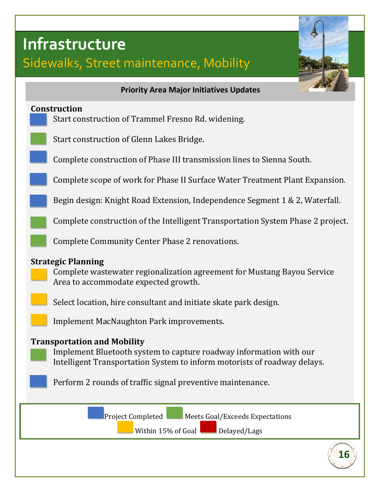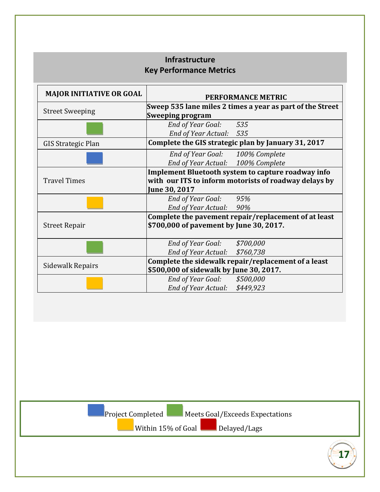#### **Infrastructure Key Performance Metrics**

| <b>MAJOR INITIATIVE OR GOAL</b> | <b>PERFORMANCE METRIC</b>                                              |  |  |
|---------------------------------|------------------------------------------------------------------------|--|--|
|                                 | Sweep 535 lane miles 2 times a year as part of the Street              |  |  |
| <b>Street Sweeping</b>          | <b>Sweeping program</b>                                                |  |  |
|                                 | End of Year Goal:<br>535                                               |  |  |
|                                 | End of Year Actual:<br>535                                             |  |  |
| <b>GIS Strategic Plan</b>       | Complete the GIS strategic plan by January 31, 2017                    |  |  |
|                                 | End of Year Goal: 100% Complete                                        |  |  |
|                                 | End of Year Actual: 100% Complete                                      |  |  |
|                                 | Implement Bluetooth system to capture roadway info                     |  |  |
| <b>Travel Times</b>             | with our ITS to inform motorists of roadway delays by<br>June 30, 2017 |  |  |
|                                 | End of Year Goal:<br>95%                                               |  |  |
|                                 | End of Year Actual:<br>90%                                             |  |  |
|                                 | Complete the pavement repair/replacement of at least                   |  |  |
| <b>Street Repair</b>            | \$700,000 of pavement by June 30, 2017.                                |  |  |
|                                 | End of Year Goal:<br>\$700,000                                         |  |  |
|                                 | \$760,738<br>End of Year Actual:                                       |  |  |
|                                 | Complete the sidewalk repair/replacement of a least                    |  |  |
| Sidewalk Repairs                | \$500,000 of sidewalk by June 30, 2017.                                |  |  |
|                                 | \$500,000<br><b>End of Year Goal:</b>                                  |  |  |
|                                 | \$449,923<br><b>End of Year Actual:</b>                                |  |  |
|                                 |                                                                        |  |  |
| Project Completed               | Meets Goal/Exceeds Expectations<br>Within 15% of Goal<br>Delayed/Lags  |  |  |

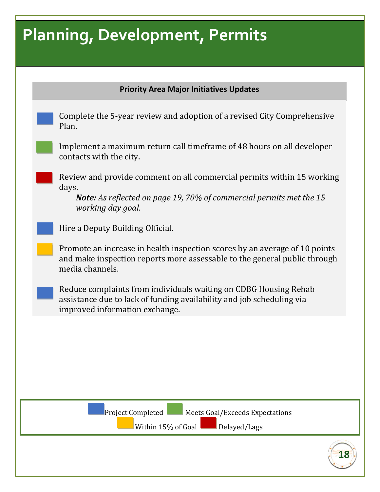## **Planning, Development, Permits**

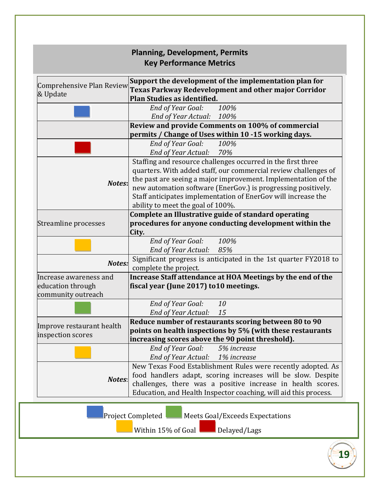|                                                                   | <b>Planning, Development, Permits</b><br><b>Key Performance Metrics</b>                                                                                                                                                                                                                                                                                                  |
|-------------------------------------------------------------------|--------------------------------------------------------------------------------------------------------------------------------------------------------------------------------------------------------------------------------------------------------------------------------------------------------------------------------------------------------------------------|
| Comprehensive Plan Review<br>& Update                             | Support the development of the implementation plan for<br>Texas Parkway Redevelopment and other major Corridor<br>Plan Studies as identified.                                                                                                                                                                                                                            |
|                                                                   | End of Year Goal:<br>100%<br>End of Year Actual: 100%                                                                                                                                                                                                                                                                                                                    |
|                                                                   | Review and provide Comments on 100% of commercial<br>permits / Change of Uses within 10 -15 working days.                                                                                                                                                                                                                                                                |
|                                                                   | End of Year Goal:<br>100%<br>End of Year Actual: 70%                                                                                                                                                                                                                                                                                                                     |
| Notes:                                                            | Staffing and resource challenges occurred in the first three<br>quarters. With added staff, our commercial review challenges of<br>the past are seeing a major improvement. Implementation of the<br>new automation software (EnerGov.) is progressing positively.<br>Staff anticipates implementation of EnerGov will increase the<br>ability to meet the goal of 100%. |
| Streamline processes                                              | Complete an Illustrative guide of standard operating<br>procedures for anyone conducting development within the<br>City.                                                                                                                                                                                                                                                 |
|                                                                   | End of Year Goal:<br>100%<br>End of Year Actual: 85%                                                                                                                                                                                                                                                                                                                     |
| Notes:                                                            | Significant progress is anticipated in the 1st quarter FY2018 to<br>complete the project.                                                                                                                                                                                                                                                                                |
| Increase awareness and<br>education through<br>community outreach | Increase Staff attendance at HOA Meetings by the end of the<br>fiscal year (June 2017) to 10 meetings.                                                                                                                                                                                                                                                                   |
|                                                                   | <b>End of Year Goal:</b><br>10<br><b>End of Year Actual:</b><br>15                                                                                                                                                                                                                                                                                                       |
| Improve restaurant health<br>inspection scores                    | Reduce number of restaurants scoring between 80 to 90<br>points on health inspections by 5% (with these restaurants<br>increasing scores above the 90 point threshold).                                                                                                                                                                                                  |
|                                                                   | End of Year Goal:<br>5% increase<br>End of Year Actual: 1% increase                                                                                                                                                                                                                                                                                                      |
| Notes:                                                            | New Texas Food Establishment Rules were recently adopted. As<br>food handlers adapt, scoring increases will be slow. Despite<br>challenges, there was a positive increase in health scores.<br>Education, and Health Inspector coaching, will aid this process.                                                                                                          |
|                                                                   |                                                                                                                                                                                                                                                                                                                                                                          |

Project Completed Meets Goal/Exceeds Expectations

Within 15% of Goal Delayed/Lags

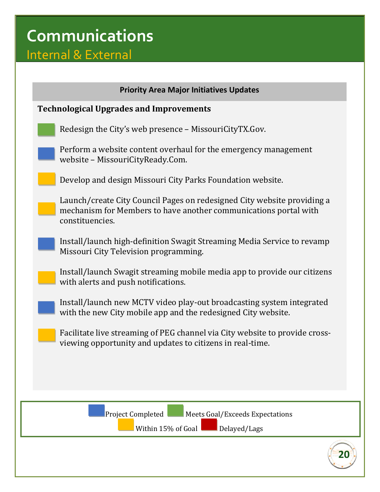## **Communications**

## Internal & External

| <b>Priority Area Major Initiatives Updates</b>                                                                                                                 |  |
|----------------------------------------------------------------------------------------------------------------------------------------------------------------|--|
| <b>Technological Upgrades and Improvements</b>                                                                                                                 |  |
| Redesign the City's web presence - MissouriCityTX.Gov.                                                                                                         |  |
| Perform a website content overhaul for the emergency management<br>website - MissouriCityReady.Com.                                                            |  |
| Develop and design Missouri City Parks Foundation website.                                                                                                     |  |
| Launch/create City Council Pages on redesigned City website providing a<br>mechanism for Members to have another communications portal with<br>constituencies. |  |
| Install/launch high-definition Swagit Streaming Media Service to revamp<br>Missouri City Television programming.                                               |  |
| Install/launch Swagit streaming mobile media app to provide our citizens<br>with alerts and push notifications.                                                |  |
| Install/launch new MCTV video play-out broadcasting system integrated<br>with the new City mobile app and the redesigned City website.                         |  |
| Facilitate live streaming of PEG channel via City website to provide cross-<br>viewing opportunity and updates to citizens in real-time.                       |  |
|                                                                                                                                                                |  |
|                                                                                                                                                                |  |
| Project Completed<br>Meets Goal/Exceeds Expectations                                                                                                           |  |
| Delayed/Lags<br>Within 15% of Goal                                                                                                                             |  |

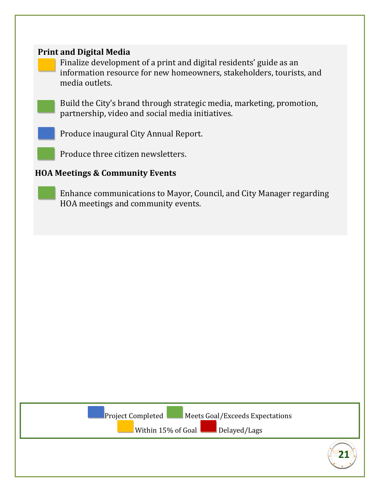#### **Print and Digital Media**

Finalize development of a print and digital residents' guide as an information resource for new homeowners, stakeholders, tourists, and media outlets.

Build the City's brand through strategic media, marketing, promotion, partnership, video and social media initiatives.

Produce inaugural City Annual Report.

Produce three citizen newsletters.

#### **HOA Meetings & Community Events**

Enhance communications to Mayor, Council, and City Manager regarding HOA meetings and community events.

Project Completed Meets Goal/Exceeds Expectations

Within  $15\%$  of Goal  $\Box$  Delayed/Lags

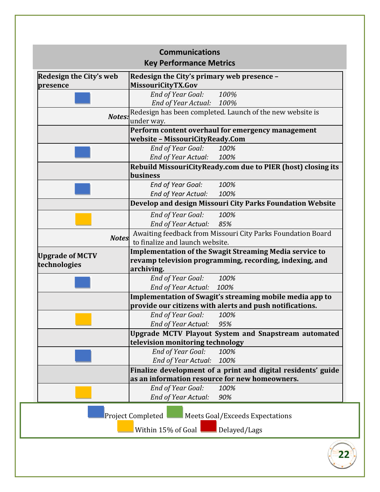| Redesign the City's web                | Redesign the City's primary web presence -                                                                                |
|----------------------------------------|---------------------------------------------------------------------------------------------------------------------------|
| presence                               | MissouriCityTX.Gov                                                                                                        |
|                                        | End of Year Goal:<br>100%                                                                                                 |
|                                        | End of Year Actual: 100%                                                                                                  |
|                                        | Redesign has been completed. Launch of the new website is<br>Notes:<br>under way.                                         |
|                                        | Perform content overhaul for emergency management                                                                         |
|                                        | website - MissouriCityReady.Com                                                                                           |
|                                        | End of Year Goal:<br>100%                                                                                                 |
|                                        | End of Year Actual:<br>100%                                                                                               |
|                                        | Rebuild MissouriCityReady.com due to PIER (host) closing its                                                              |
|                                        | business                                                                                                                  |
|                                        | <b>End of Year Goal:</b><br>100%                                                                                          |
|                                        | 100%<br>End of Year Actual:                                                                                               |
|                                        | Develop and design Missouri City Parks Foundation Website                                                                 |
|                                        | End of Year Goal:<br>100%                                                                                                 |
|                                        | End of Year Actual:<br>85%                                                                                                |
|                                        | Awaiting feedback from Missouri City Parks Foundation Board<br><b>Notes</b>                                               |
|                                        | to finalize and launch website.                                                                                           |
| <b>Upgrade of MCTV</b><br>technologies | <b>Implementation of the Swagit Streaming Media service to</b><br>revamp television programming, recording, indexing, and |
|                                        |                                                                                                                           |
|                                        | archiving.                                                                                                                |
|                                        | End of Year Goal:<br>100%                                                                                                 |
|                                        | End of Year Actual: 100%                                                                                                  |
|                                        | Implementation of Swagit's streaming mobile media app to                                                                  |
|                                        | provide our citizens with alerts and push notifications.                                                                  |
|                                        | End of Year Goal:<br>100%                                                                                                 |
|                                        | <b>End of Year Actual:</b><br>95%                                                                                         |
|                                        | <b>Upgrade MCTV Playout System and Snapstream automated</b>                                                               |
|                                        | television monitoring technology                                                                                          |
|                                        | End of Year Goal:<br>100%<br>100%                                                                                         |
|                                        | <b>End of Year Actual:</b>                                                                                                |
|                                        | Finalize development of a print and digital residents' guide<br>as an information resource for new homeowners.            |
|                                        | End of Year Goal:<br>100%                                                                                                 |
|                                        | End of Year Actual:<br>90%                                                                                                |
|                                        |                                                                                                                           |
|                                        | Project Completed<br>Meets Goal/Exceeds Expectations                                                                      |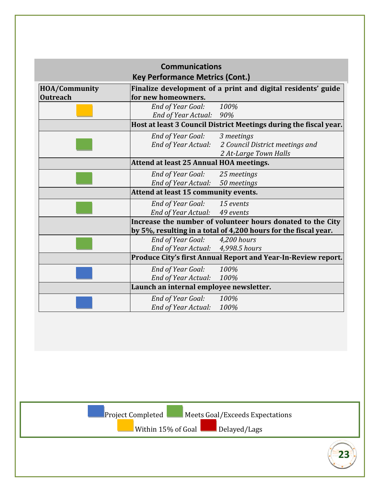| <b>HOA/Community</b> | <b>Key Performance Metrics (Cont.)</b>                        | Finalize development of a print and digital residents' guide      |
|----------------------|---------------------------------------------------------------|-------------------------------------------------------------------|
| <b>Outreach</b>      | for new homeowners.                                           |                                                                   |
|                      | <b>End of Year Goal:</b>                                      | 100%                                                              |
|                      | End of Year Actual: 90%                                       | Host at least 3 Council District Meetings during the fiscal year. |
|                      | <b>End of Year Goal:</b>                                      | 3 meetings                                                        |
|                      | End of Year Actual:                                           | 2 Council District meetings and                                   |
|                      |                                                               | 2 At-Large Town Halls                                             |
|                      | Attend at least 25 Annual HOA meetings.                       |                                                                   |
|                      | End of Year Goal:                                             | 25 meetings                                                       |
|                      | End of Year Actual:                                           | 50 meetings                                                       |
|                      | Attend at least 15 community events.                          |                                                                   |
|                      | End of Year Goal: 15 events                                   |                                                                   |
|                      | End of Year Actual: 49 events                                 |                                                                   |
|                      |                                                               | Increase the number of volunteer hours donated to the City        |
|                      |                                                               | by 5%, resulting in a total of 4,200 hours for the fiscal year.   |
|                      | <b>End of Year Goal:</b><br>End of Year Actual: 4,998.5 hours | 4,200 hours                                                       |
|                      |                                                               | Produce City's first Annual Report and Year-In-Review report.     |
|                      | End of Year Goal:                                             | 100%                                                              |
|                      | End of Year Actual:                                           | 100%                                                              |
|                      | Launch an internal employee newsletter.                       |                                                                   |
|                      | End of Year Goal:                                             | 100%                                                              |
|                      | End of Year Actual:                                           | 100%                                                              |
|                      |                                                               |                                                                   |
|                      |                                                               |                                                                   |
|                      |                                                               |                                                                   |
|                      |                                                               |                                                                   |
|                      | Project Completed                                             | Meets Goal/Exceeds Expectations                                   |
|                      | Within 15% of Goal                                            | Delayed/Lags                                                      |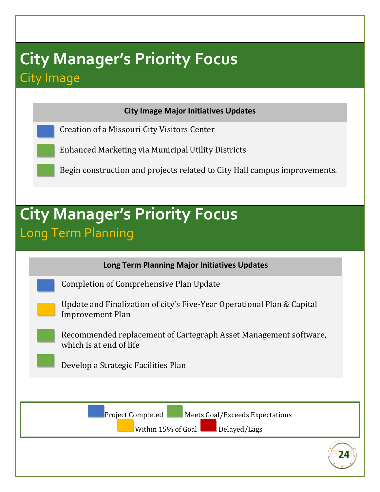## **City Manager's Priority Focus** City Image

**City Image Major Initiatives Updates**

Creation of a Missouri City Visitors Center

Enhanced Marketing via Municipal Utility Districts

Begin construction and projects related to City Hall campus improvements.

## **City Manager's Priority Focus** Long Term Planning

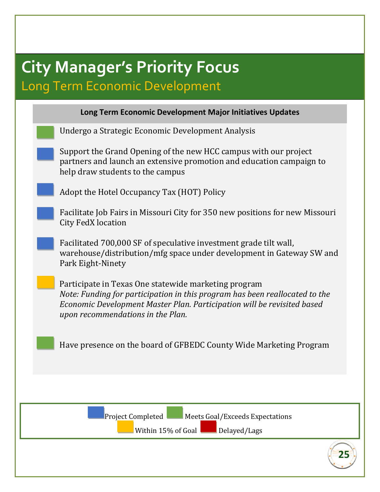## **City Manager's Priority Focus** Long Term Economic Development

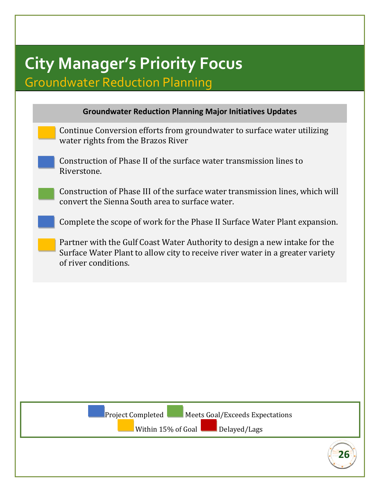## **City Manager's Priority Focus** Groundwater Reduction Planning

| Continue Conversion efforts from groundwater to surface water utilizing<br>water rights from the Brazos River<br>Construction of Phase II of the surface water transmission lines to<br>Riverstone.<br>Construction of Phase III of the surface water transmission lines, which will<br>convert the Sienna South area to surface water.<br>Complete the scope of work for the Phase II Surface Water Plant expansion.<br>Partner with the Gulf Coast Water Authority to design a new intake for the<br>Surface Water Plant to allow city to receive river water in a greater variety<br>of river conditions. |  |
|--------------------------------------------------------------------------------------------------------------------------------------------------------------------------------------------------------------------------------------------------------------------------------------------------------------------------------------------------------------------------------------------------------------------------------------------------------------------------------------------------------------------------------------------------------------------------------------------------------------|--|
|                                                                                                                                                                                                                                                                                                                                                                                                                                                                                                                                                                                                              |  |
|                                                                                                                                                                                                                                                                                                                                                                                                                                                                                                                                                                                                              |  |
|                                                                                                                                                                                                                                                                                                                                                                                                                                                                                                                                                                                                              |  |
|                                                                                                                                                                                                                                                                                                                                                                                                                                                                                                                                                                                                              |  |
|                                                                                                                                                                                                                                                                                                                                                                                                                                                                                                                                                                                                              |  |
|                                                                                                                                                                                                                                                                                                                                                                                                                                                                                                                                                                                                              |  |
|                                                                                                                                                                                                                                                                                                                                                                                                                                                                                                                                                                                                              |  |
|                                                                                                                                                                                                                                                                                                                                                                                                                                                                                                                                                                                                              |  |
|                                                                                                                                                                                                                                                                                                                                                                                                                                                                                                                                                                                                              |  |
|                                                                                                                                                                                                                                                                                                                                                                                                                                                                                                                                                                                                              |  |
| Project Completed<br>Meets Goal/Exceeds Expectations                                                                                                                                                                                                                                                                                                                                                                                                                                                                                                                                                         |  |
| Within 15% of Goal<br>Delayed/Lags                                                                                                                                                                                                                                                                                                                                                                                                                                                                                                                                                                           |  |